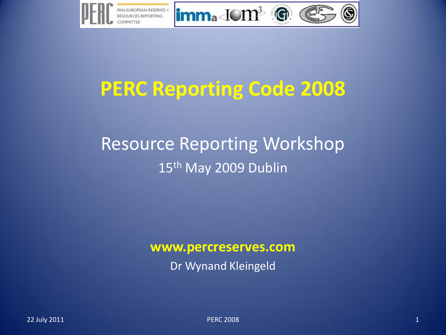

#### **PERC Reporting Code 2008**

#### Resource Reporting Workshop 15<sup>th</sup> May 2009 Dublin

#### **www.percreserves.com**

Dr Wynand Kleingeld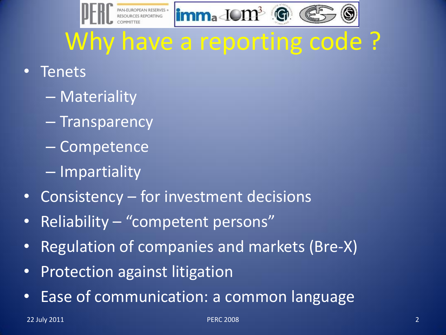

# Why have a reporting code ?

- **Tenets** 
	- Materiality
	- Transparency
	- Competence
	- Impartiality
- Consistency for investment decisions
- Reliability "competent persons"
- Regulation of companies and markets (Bre-X)
- Protection against litigation
- Ease of communication: a common language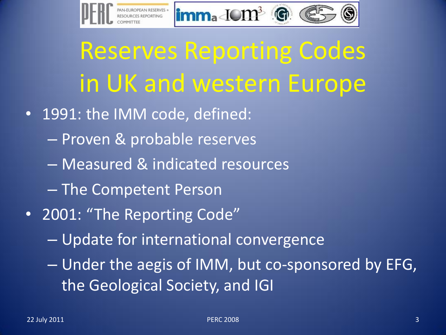

Reserves Reporting Codes in UK and western Europe

- 1991: the IMM code, defined:
	- Proven & probable reserves
	- Measured & indicated resources
	- The Competent Person
- 2001: "The Reporting Code"
	- Update for international convergence
	- Under the aegis of IMM, but co-sponsored by EFG, the Geological Society, and IGI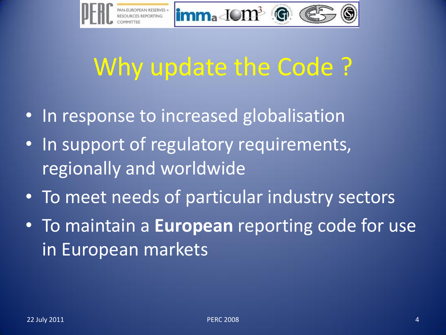

# Why update the Code ?

- In response to increased globalisation
- In support of regulatory requirements, regionally and worldwide
- To meet needs of particular industry sectors
- To maintain a **European** reporting code for use in European markets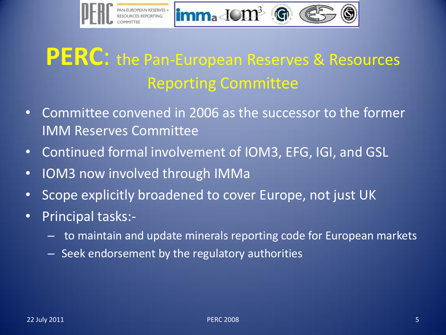

#### **PERC**: the Pan-European Reserves & Resources Reporting Committee

- Committee convened in 2006 as the successor to the former IMM Reserves Committee
- Continued formal involvement of IOM3, EFG, IGI, and GSL
- IOM3 now involved through IMMa
- Scope explicitly broadened to cover Europe, not just UK
- Principal tasks:-
	- to maintain and update minerals reporting code for European markets
	- Seek endorsement by the regulatory authorities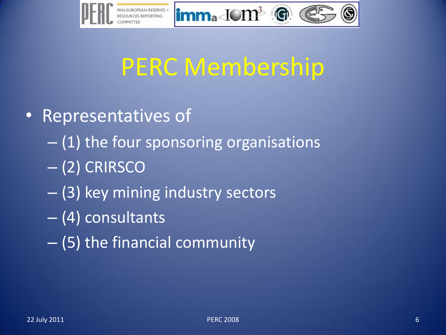



## PERC Membership

- Representatives of
	- (1) the four sponsoring organisations
	- (2) CRIRSCO
	- (3) key mining industry sectors
	- (4) consultants
	- (5) the financial community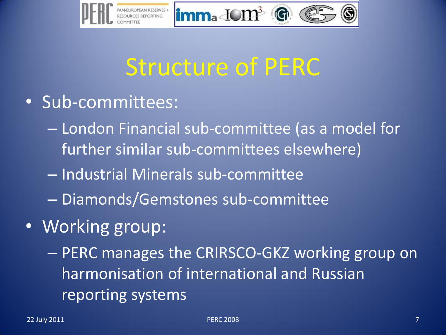

## Structure of PERC

- Sub-committees:
	- London Financial sub-committee (as a model for further similar sub-committees elsewhere)
	- Industrial Minerals sub-committee
	- Diamonds/Gemstones sub-committee
- Working group:

– PERC manages the CRIRSCO-GKZ working group on harmonisation of international and Russian reporting systems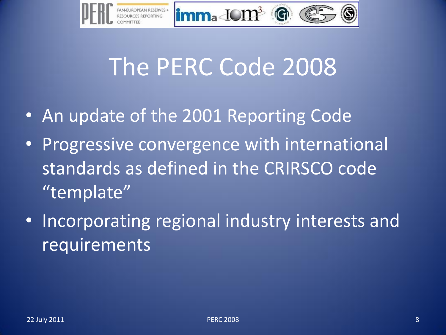

# The PERC Code 2008

- An update of the 2001 Reporting Code
- Progressive convergence with international standards as defined in the CRIRSCO code "template"
- Incorporating regional industry interests and requirements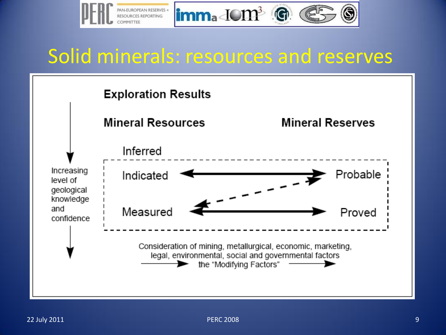

#### Solid minerals: resources and reserves

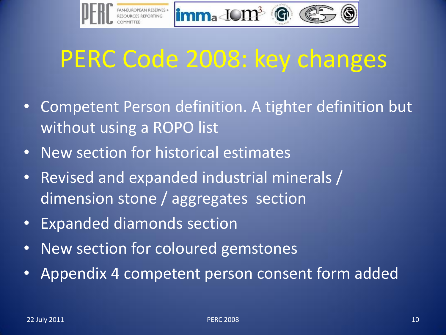

# PERC Code 2008: key changes

- Competent Person definition. A tighter definition but without using a ROPO list
- New section for historical estimates
- Revised and expanded industrial minerals / dimension stone / aggregates section
- Expanded diamonds section
- New section for coloured gemstones
- Appendix 4 competent person consent form added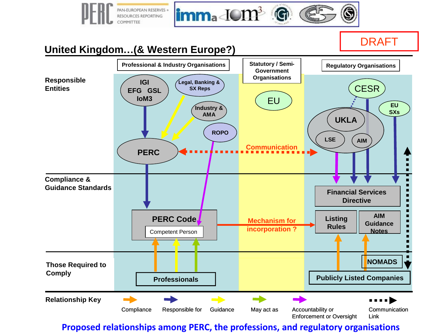

**Proposed relationships among PERC, the professions, and regulatory organisations**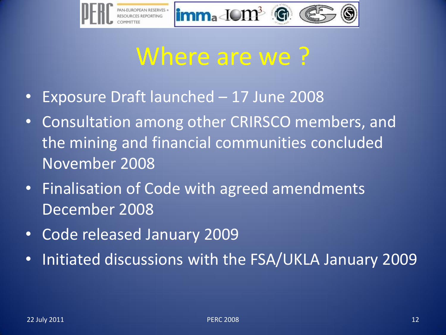

### Where are we ?

- Exposure Draft launched 17 June 2008
- Consultation among other CRIRSCO members, and the mining and financial communities concluded November 2008
- Finalisation of Code with agreed amendments December 2008
- Code released January 2009
- Initiated discussions with the FSA/UKLA January 2009